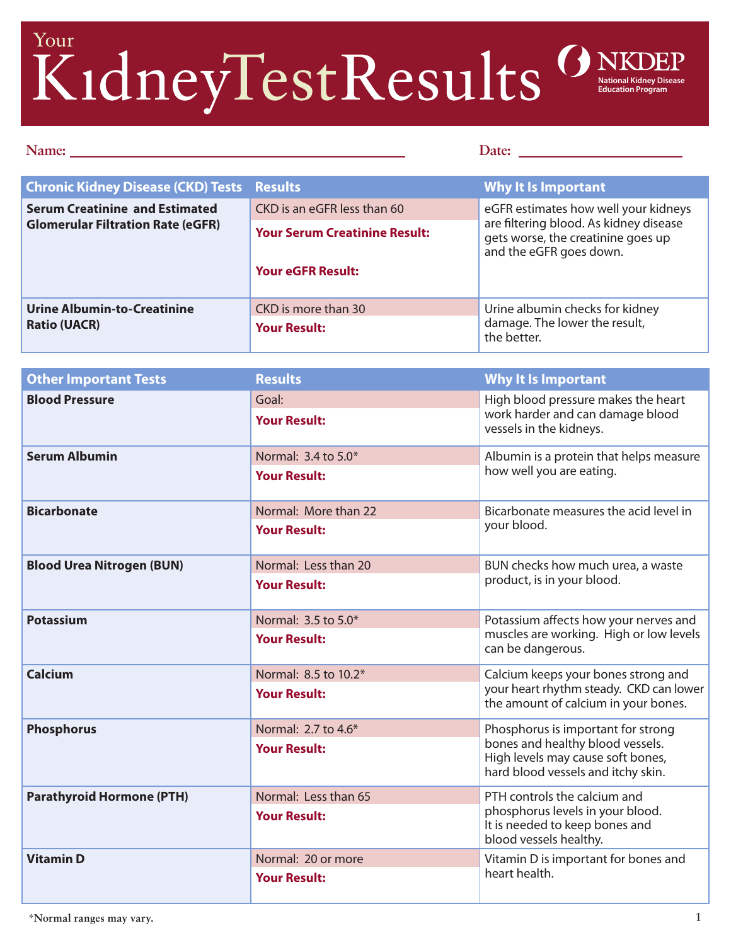## Your **National Kidney Disease Education Program**

## Name: <u>Date:</u> Date:

| <b>Chronic Kidney Disease (CKD) Tests Results</b>                                 |                                      | Why It Is Important                                                                                                                             |
|-----------------------------------------------------------------------------------|--------------------------------------|-------------------------------------------------------------------------------------------------------------------------------------------------|
| <b>Serum Creatinine and Estimated</b><br><b>Glomerular Filtration Rate (eGFR)</b> | CKD is an eGFR less than 60          | eGFR estimates how well your kidneys<br>are filtering blood. As kidney disease<br>gets worse, the creatinine goes up<br>and the eGFR goes down. |
|                                                                                   | <b>Your Serum Creatinine Result:</b> |                                                                                                                                                 |
|                                                                                   | <b>Your eGFR Result:</b>             |                                                                                                                                                 |
| <b>Urine Albumin-to-Creatinine</b><br><b>Ratio (UACR)</b>                         | CKD is more than 30                  | Urine albumin checks for kidney<br>damage. The lower the result,<br>the better.                                                                 |
|                                                                                   | <b>Your Result:</b>                  |                                                                                                                                                 |

| <b>Other Important Tests</b>     | <b>Results</b>                              | <b>Why It Is Important</b>                                                                                                                        |
|----------------------------------|---------------------------------------------|---------------------------------------------------------------------------------------------------------------------------------------------------|
| <b>Blood Pressure</b>            | Goal:<br><b>Your Result:</b>                | High blood pressure makes the heart<br>work harder and can damage blood<br>vessels in the kidneys.                                                |
| <b>Serum Albumin</b>             | Normal: 3.4 to 5.0*<br><b>Your Result:</b>  | Albumin is a protein that helps measure<br>how well you are eating.                                                                               |
| <b>Bicarbonate</b>               | Normal: More than 22<br><b>Your Result:</b> | Bicarbonate measures the acid level in<br>your blood.                                                                                             |
| <b>Blood Urea Nitrogen (BUN)</b> | Normal: Less than 20<br><b>Your Result:</b> | BUN checks how much urea, a waste<br>product, is in your blood.                                                                                   |
| <b>Potassium</b>                 | Normal: 3.5 to 5.0*<br><b>Your Result:</b>  | Potassium affects how your nerves and<br>muscles are working. High or low levels<br>can be dangerous.                                             |
| Calcium                          | Normal: 8.5 to 10.2*<br><b>Your Result:</b> | Calcium keeps your bones strong and<br>your heart rhythm steady. CKD can lower<br>the amount of calcium in your bones.                            |
| <b>Phosphorus</b>                | Normal: 2.7 to 4.6*<br><b>Your Result:</b>  | Phosphorus is important for strong<br>bones and healthy blood vessels.<br>High levels may cause soft bones,<br>hard blood vessels and itchy skin. |
| <b>Parathyroid Hormone (PTH)</b> | Normal: Less than 65<br><b>Your Result:</b> | PTH controls the calcium and<br>phosphorus levels in your blood.<br>It is needed to keep bones and<br>blood vessels healthy.                      |
| <b>Vitamin D</b>                 | Normal: 20 or more<br><b>Your Result:</b>   | Vitamin D is important for bones and<br>heart health.                                                                                             |

 $\overline{P}$